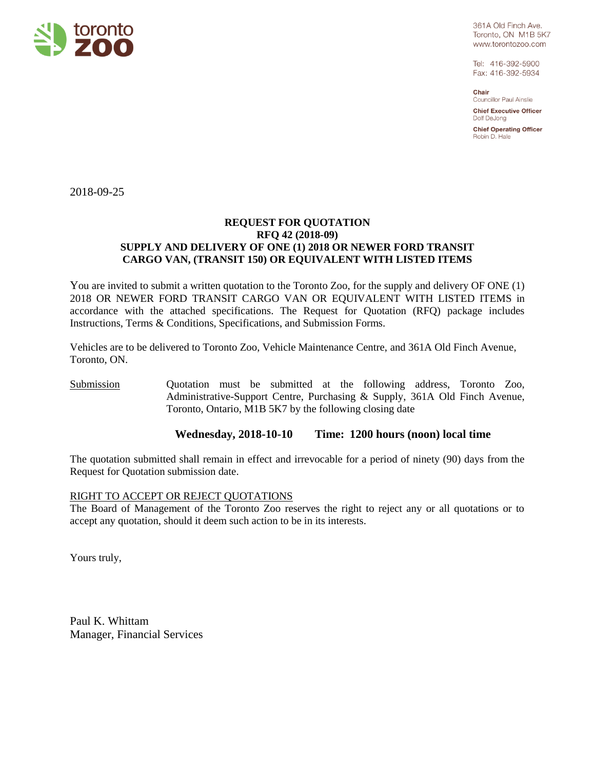

361A Old Finch Ave. Toronto, ON M1B 5K7 www.torontozoo.com

Tel: 416-392-5900 Fax: 416-392-5934

Chair Councillor Paul Ainslie

**Chief Executive Officer** Dolf DeJong

**Chief Operating Officer** Robin D. Hale

2018-09-25

# **REQUEST FOR QUOTATION RFQ 42 (2018-09) SUPPLY AND DELIVERY OF ONE (1) 2018 OR NEWER FORD TRANSIT CARGO VAN, (TRANSIT 150) OR EQUIVALENT WITH LISTED ITEMS**

You are invited to submit a written quotation to the Toronto Zoo, for the supply and delivery OF ONE (1) 2018 OR NEWER FORD TRANSIT CARGO VAN OR EQUIVALENT WITH LISTED ITEMS in accordance with the attached specifications. The Request for Quotation (RFQ) package includes Instructions, Terms & Conditions, Specifications, and Submission Forms.

Vehicles are to be delivered to Toronto Zoo, Vehicle Maintenance Centre, and 361A Old Finch Avenue, Toronto, ON.

Submission Quotation must be submitted at the following address, Toronto Zoo, Administrative-Support Centre, Purchasing & Supply, 361A Old Finch Avenue, Toronto, Ontario, M1B 5K7 by the following closing date

# **Wednesday, 2018-10-10 Time: 1200 hours (noon) local time**

The quotation submitted shall remain in effect and irrevocable for a period of ninety (90) days from the Request for Quotation submission date.

#### RIGHT TO ACCEPT OR REJECT QUOTATIONS

The Board of Management of the Toronto Zoo reserves the right to reject any or all quotations or to accept any quotation, should it deem such action to be in its interests.

Yours truly,

Paul K. Whittam Manager, Financial Services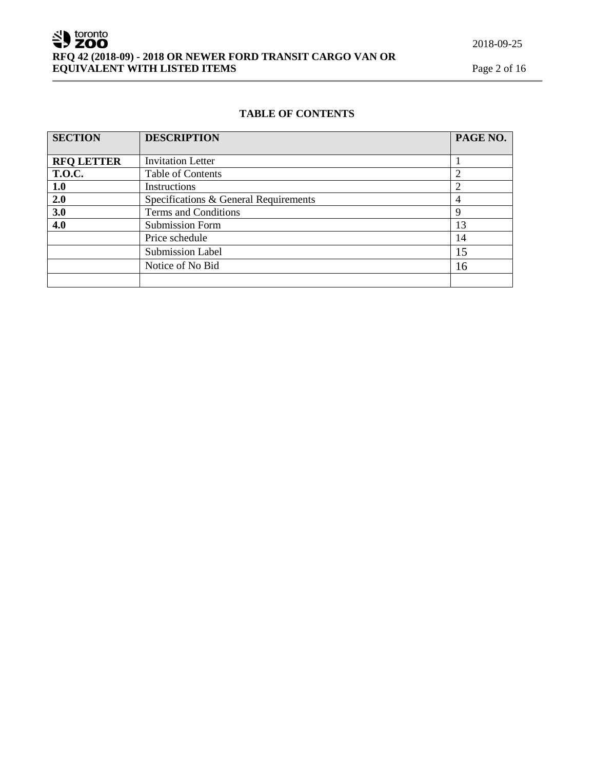# **TABLE OF CONTENTS**

| <b>SECTION</b>    | <b>DESCRIPTION</b>                    | PAGE NO. |
|-------------------|---------------------------------------|----------|
|                   |                                       |          |
| <b>RFQ LETTER</b> | <b>Invitation Letter</b>              |          |
| <b>T.O.C.</b>     | <b>Table of Contents</b>              |          |
| 1.0               | Instructions                          |          |
| 2.0               | Specifications & General Requirements |          |
| 3.0               | Terms and Conditions                  | Q        |
| 4.0               | <b>Submission Form</b>                | 13       |
|                   | Price schedule                        | 14       |
|                   | <b>Submission Label</b>               | 15       |
|                   | Notice of No Bid                      | 16       |
|                   |                                       |          |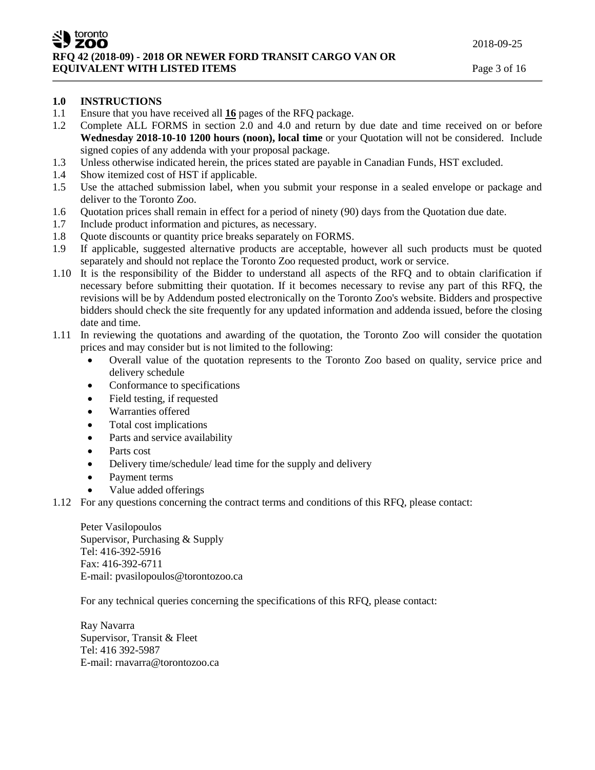# **1.0 INSTRUCTIONS**

- 1.1 Ensure that you have received all **16** pages of the RFQ package.
- 1.2 Complete ALL FORMS in section 2.0 and 4.0 and return by due date and time received on or before **Wednesday 2018-10-10 1200 hours (noon), local time** or your Quotation will not be considered. Include signed copies of any addenda with your proposal package.
- 1.3 Unless otherwise indicated herein, the prices stated are payable in Canadian Funds, HST excluded.
- 1.4 Show itemized cost of HST if applicable.
- 1.5 Use the attached submission label, when you submit your response in a sealed envelope or package and deliver to the Toronto Zoo.
- 1.6 Quotation prices shall remain in effect for a period of ninety (90) days from the Quotation due date.
- 1.7 Include product information and pictures, as necessary.
- 1.8 Quote discounts or quantity price breaks separately on FORMS.
- 1.9 If applicable, suggested alternative products are acceptable, however all such products must be quoted separately and should not replace the Toronto Zoo requested product, work or service.
- 1.10 It is the responsibility of the Bidder to understand all aspects of the RFQ and to obtain clarification if necessary before submitting their quotation. If it becomes necessary to revise any part of this RFQ, the revisions will be by Addendum posted electronically on the Toronto Zoo's website. Bidders and prospective bidders should check the site frequently for any updated information and addenda issued, before the closing date and time.
- 1.11 In reviewing the quotations and awarding of the quotation, the Toronto Zoo will consider the quotation prices and may consider but is not limited to the following:
	- Overall value of the quotation represents to the Toronto Zoo based on quality, service price and delivery schedule
	- Conformance to specifications
	- Field testing, if requested
	- Warranties offered
	- Total cost implications
	- Parts and service availability
	- Parts cost
	- Delivery time/schedule/ lead time for the supply and delivery
	- Payment terms
	- Value added offerings
- 1.12 For any questions concerning the contract terms and conditions of this RFQ, please contact:

Peter Vasilopoulos Supervisor, Purchasing & Supply Tel: 416-392-5916 Fax: 416-392-6711 E-mail: pvasilopoulos@torontozoo.ca

For any technical queries concerning the specifications of this RFQ, please contact:

Ray Navarra Supervisor, Transit & Fleet Tel: 416 392-5987 E-mail: rnavarra@torontozoo.ca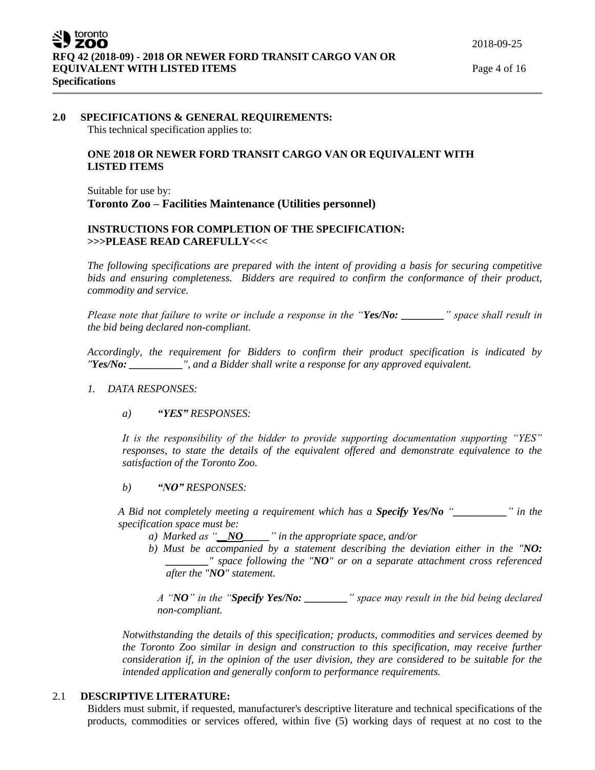### **2.0 SPECIFICATIONS & GENERAL REQUIREMENTS:** This technical specification applies to:

# **ONE 2018 OR NEWER FORD TRANSIT CARGO VAN OR EQUIVALENT WITH LISTED ITEMS**

Suitable for use by: **Toronto Zoo – Facilities Maintenance (Utilities personnel)**

# **INSTRUCTIONS FOR COMPLETION OF THE SPECIFICATION: >>>PLEASE READ CAREFULLY<<<**

*The following specifications are prepared with the intent of providing a basis for securing competitive bids and ensuring completeness. Bidders are required to confirm the conformance of their product, commodity and service.*

*Please note that failure to write or include a response in the "Yes/No: \_\_\_\_\_\_\_\_" space shall result in the bid being declared non-compliant.*

*Accordingly, the requirement for Bidders to confirm their product specification is indicated by "Yes/No: \_\_\_\_\_\_\_\_\_\_", and a Bidder shall write a response for any approved equivalent.* 

# *1. DATA RESPONSES:*

# *a) "YES" RESPONSES:*

*It is the responsibility of the bidder to provide supporting documentation supporting "YES"*  responses, to state the details of the equivalent offered and demonstrate equivalence to the *satisfaction of the Toronto Zoo.* 

*b) "NO" RESPONSES:*

*A Bid not completely meeting a requirement which has a Specify Yes/No "\_\_\_\_\_\_\_\_\_\_" in the specification space must be:*

- *a) Marked as "\_\_NO\_\_\_\_\_" in the appropriate space, and/or*
- *b) Must be accompanied by a statement describing the deviation either in the "NO: \_\_\_\_\_\_\_\_" space following the "NO" or on a separate attachment cross referenced after the "NO" statement.*

*A "NO" in the "Specify Yes/No: \_\_\_\_\_\_\_\_" space may result in the bid being declared non-compliant.* 

*Notwithstanding the details of this specification; products, commodities and services deemed by the Toronto Zoo similar in design and construction to this specification, may receive further consideration if, in the opinion of the user division, they are considered to be suitable for the intended application and generally conform to performance requirements.*

# 2.1 **DESCRIPTIVE LITERATURE:**

Bidders must submit, if requested, manufacturer's descriptive literature and technical specifications of the products, commodities or services offered, within five (5) working days of request at no cost to the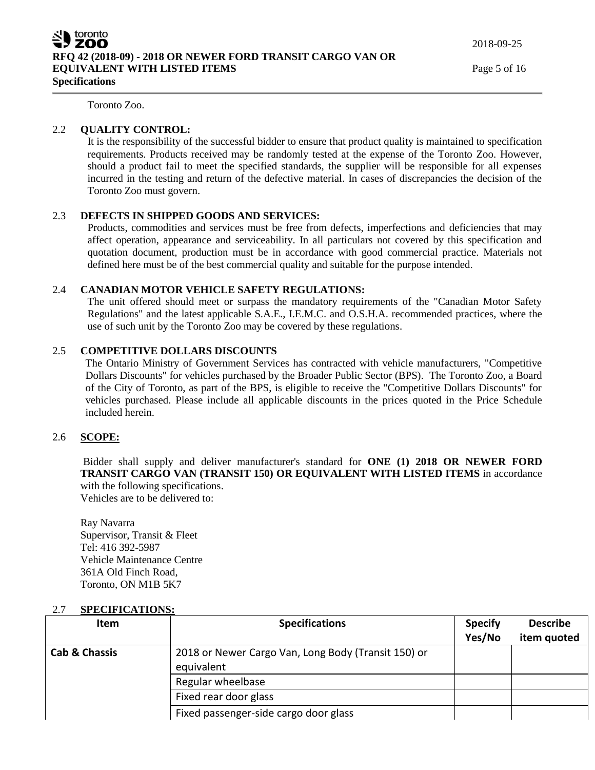Toronto Zoo.

# 2.2 **QUALITY CONTROL:**

It is the responsibility of the successful bidder to ensure that product quality is maintained to specification requirements. Products received may be randomly tested at the expense of the Toronto Zoo. However, should a product fail to meet the specified standards, the supplier will be responsible for all expenses incurred in the testing and return of the defective material. In cases of discrepancies the decision of the Toronto Zoo must govern.

### 2.3 **DEFECTS IN SHIPPED GOODS AND SERVICES:**

Products, commodities and services must be free from defects, imperfections and deficiencies that may affect operation, appearance and serviceability. In all particulars not covered by this specification and quotation document, production must be in accordance with good commercial practice. Materials not defined here must be of the best commercial quality and suitable for the purpose intended.

### 2.4 **CANADIAN MOTOR VEHICLE SAFETY REGULATIONS:**

The unit offered should meet or surpass the mandatory requirements of the "Canadian Motor Safety Regulations" and the latest applicable S.A.E., I.E.M.C. and O.S.H.A. recommended practices, where the use of such unit by the Toronto Zoo may be covered by these regulations.

# 2.5 **COMPETITIVE DOLLARS DISCOUNTS**

The Ontario Ministry of Government Services has contracted with vehicle manufacturers, "Competitive Dollars Discounts" for vehicles purchased by the Broader Public Sector (BPS). The Toronto Zoo, a Board of the City of Toronto, as part of the BPS, is eligible to receive the "Competitive Dollars Discounts" for vehicles purchased. Please include all applicable discounts in the prices quoted in the Price Schedule included herein.

# 2.6 **SCOPE:**

Bidder shall supply and deliver manufacturer's standard for **ONE (1) 2018 OR NEWER FORD TRANSIT CARGO VAN (TRANSIT 150) OR EQUIVALENT WITH LISTED ITEMS** in accordance with the following specifications. Vehicles are to be delivered to:

Ray Navarra Supervisor, Transit & Fleet Tel: 416 392-5987 Vehicle Maintenance Centre 361A Old Finch Road, Toronto, ON M1B 5K7

| <b>Item</b>              | <b>Specifications</b>                               | <b>Specify</b> | <b>Describe</b> |
|--------------------------|-----------------------------------------------------|----------------|-----------------|
|                          |                                                     | Yes/No         | item quoted     |
| <b>Cab &amp; Chassis</b> | 2018 or Newer Cargo Van, Long Body (Transit 150) or |                |                 |
|                          | equivalent                                          |                |                 |
|                          | Regular wheelbase                                   |                |                 |
|                          | Fixed rear door glass                               |                |                 |
|                          | Fixed passenger-side cargo door glass               |                |                 |

#### 2.7 **SPECIFICATIONS:**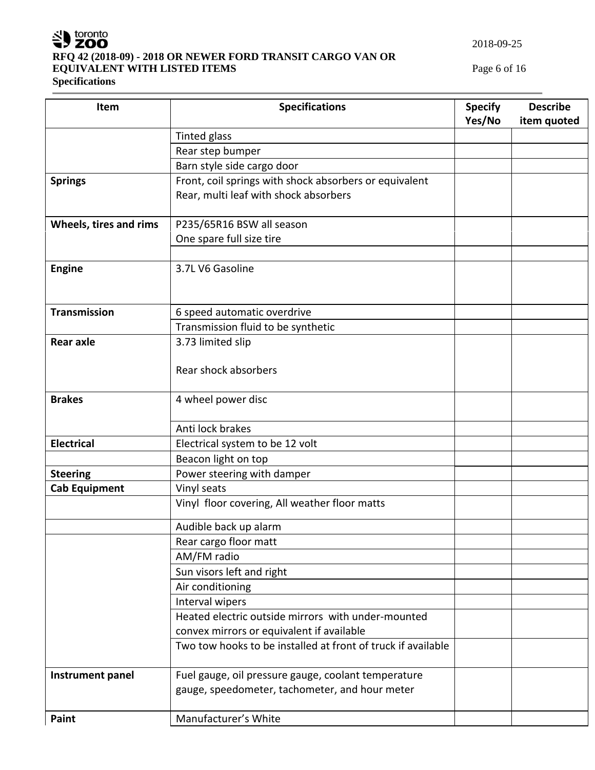

# **RFQ 42 (2018-09) - 2018 OR NEWER FORD TRANSIT CARGO VAN OR EQUIVALENT WITH LISTED ITEMS** Page 6 of 16

**Specifications**

| Item                   | <b>Specifications</b>                                        | <b>Specify</b> | <b>Describe</b> |
|------------------------|--------------------------------------------------------------|----------------|-----------------|
|                        |                                                              | Yes/No         | item quoted     |
|                        | <b>Tinted glass</b>                                          |                |                 |
|                        | Rear step bumper                                             |                |                 |
|                        | Barn style side cargo door                                   |                |                 |
| <b>Springs</b>         | Front, coil springs with shock absorbers or equivalent       |                |                 |
|                        | Rear, multi leaf with shock absorbers                        |                |                 |
| Wheels, tires and rims | P235/65R16 BSW all season                                    |                |                 |
|                        | One spare full size tire                                     |                |                 |
|                        |                                                              |                |                 |
| <b>Engine</b>          | 3.7L V6 Gasoline                                             |                |                 |
|                        |                                                              |                |                 |
|                        |                                                              |                |                 |
| <b>Transmission</b>    | 6 speed automatic overdrive                                  |                |                 |
|                        | Transmission fluid to be synthetic                           |                |                 |
| <b>Rear axle</b>       | 3.73 limited slip                                            |                |                 |
|                        |                                                              |                |                 |
|                        | Rear shock absorbers                                         |                |                 |
|                        |                                                              |                |                 |
| <b>Brakes</b>          | 4 wheel power disc                                           |                |                 |
|                        |                                                              |                |                 |
|                        | Anti lock brakes                                             |                |                 |
| <b>Electrical</b>      | Electrical system to be 12 volt                              |                |                 |
|                        | Beacon light on top                                          |                |                 |
| <b>Steering</b>        | Power steering with damper                                   |                |                 |
| <b>Cab Equipment</b>   | Vinyl seats                                                  |                |                 |
|                        | Vinyl floor covering, All weather floor matts                |                |                 |
|                        | Audible back up alarm                                        |                |                 |
|                        | Rear cargo floor matt                                        |                |                 |
|                        | AM/FM radio                                                  |                |                 |
|                        | Sun visors left and right                                    |                |                 |
|                        | Air conditioning                                             |                |                 |
|                        | Interval wipers                                              |                |                 |
|                        | Heated electric outside mirrors with under-mounted           |                |                 |
|                        | convex mirrors or equivalent if available                    |                |                 |
|                        | Two tow hooks to be installed at front of truck if available |                |                 |
|                        |                                                              |                |                 |
| Instrument panel       | Fuel gauge, oil pressure gauge, coolant temperature          |                |                 |
|                        | gauge, speedometer, tachometer, and hour meter               |                |                 |
| Paint                  | Manufacturer's White                                         |                |                 |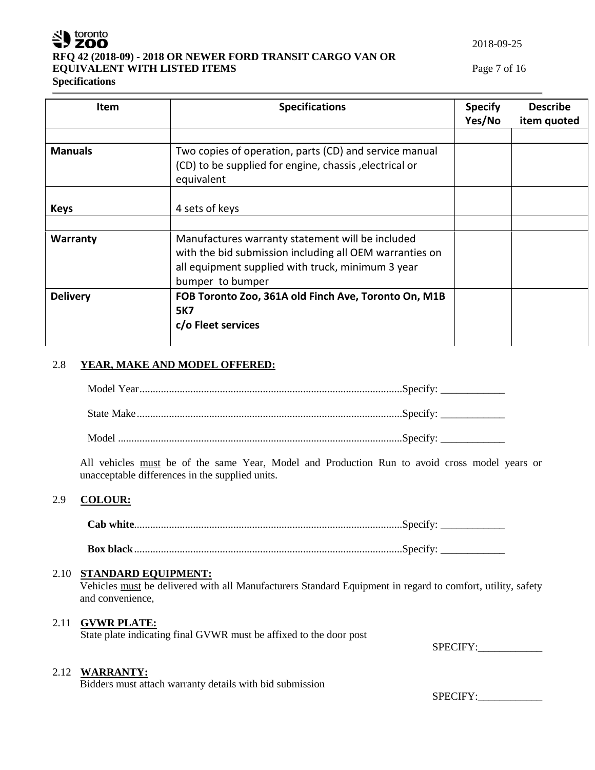

# **RFQ 42 (2018-09) - 2018 OR NEWER FORD TRANSIT CARGO VAN OR EQUIVALENT WITH LISTED ITEMS Page 7 of 16**

2018-09-25

# **Specifications**

| <b>Item</b>     | <b>Specifications</b>                                                                                                                                                                | <b>Specify</b><br>Yes/No | <b>Describe</b><br>item quoted |
|-----------------|--------------------------------------------------------------------------------------------------------------------------------------------------------------------------------------|--------------------------|--------------------------------|
| <b>Manuals</b>  | Two copies of operation, parts (CD) and service manual<br>(CD) to be supplied for engine, chassis, electrical or<br>equivalent                                                       |                          |                                |
| <b>Keys</b>     | 4 sets of keys                                                                                                                                                                       |                          |                                |
| Warranty        | Manufactures warranty statement will be included<br>with the bid submission including all OEM warranties on<br>all equipment supplied with truck, minimum 3 year<br>bumper to bumper |                          |                                |
| <b>Delivery</b> | FOB Toronto Zoo, 361A old Finch Ave, Toronto On, M1B<br><b>5K7</b><br>c/o Fleet services                                                                                             |                          |                                |

# 2.8 **YEAR, MAKE AND MODEL OFFERED:**

All vehicles must be of the same Year, Model and Production Run to avoid cross model years or unacceptable differences in the supplied units.

# 2.9 **COLOUR:**

**Cab white**....................................................................................................Specify: \_\_\_\_\_\_\_\_\_\_\_\_

**Box black**....................................................................................................Specify: \_\_\_\_\_\_\_\_\_\_\_\_

# 2.10 **STANDARD EQUIPMENT:**

Vehicles must be delivered with all Manufacturers Standard Equipment in regard to comfort, utility, safety and convenience,

# 2.11 **GVWR PLATE:**

State plate indicating final GVWR must be affixed to the door post

SPECIFY:

# 2.12 **WARRANTY:**

Bidders must attach warranty details with bid submission

SPECIFY: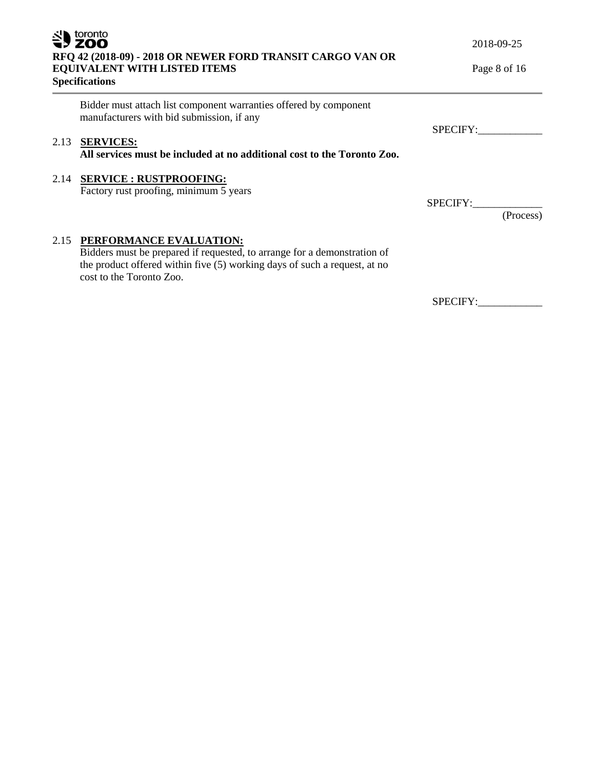| toronto<br>RFQ 42 (2018-09) - 2018 OR NEWER FORD TRANSIT CARGO VAN OR<br><b>EQUIVALENT WITH LISTED ITEMS</b><br><b>Specifications</b> |                                                                                                                                                                                                              | 2018-09-25<br>Page 8 of 16 |  |
|---------------------------------------------------------------------------------------------------------------------------------------|--------------------------------------------------------------------------------------------------------------------------------------------------------------------------------------------------------------|----------------------------|--|
|                                                                                                                                       | Bidder must attach list component warranties offered by component<br>manufacturers with bid submission, if any                                                                                               | SPECIFY:                   |  |
| 2.13                                                                                                                                  | <b>SERVICES:</b><br>All services must be included at no additional cost to the Toronto Zoo.                                                                                                                  |                            |  |
|                                                                                                                                       | 2.14 SERVICE : RUSTPROOFING:<br>Factory rust proofing, minimum 5 years                                                                                                                                       | SPECIFY:<br>(Process)      |  |
| 2.15                                                                                                                                  | PERFORMANCE EVALUATION:<br>Bidders must be prepared if requested, to arrange for a demonstration of<br>the product offered within five (5) working days of such a request, at no<br>cost to the Toronto Zoo. |                            |  |
|                                                                                                                                       |                                                                                                                                                                                                              | SPECIFY:                   |  |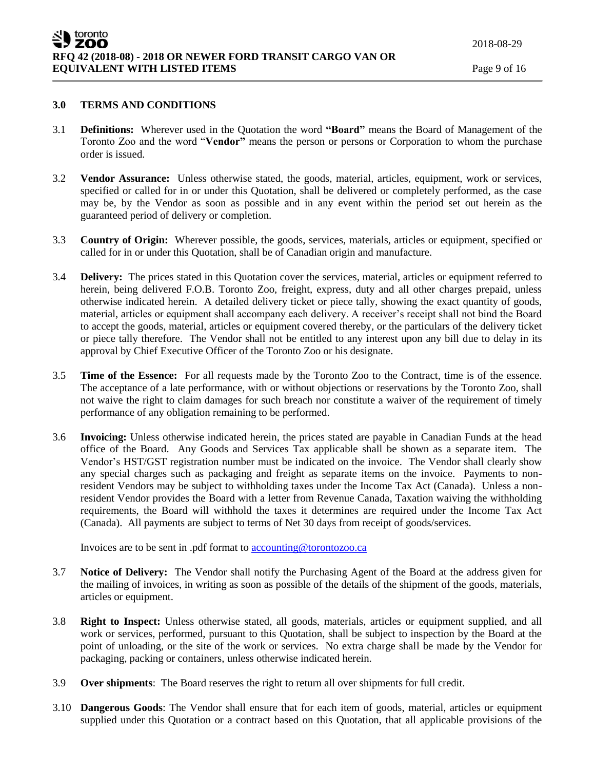### **3.0 TERMS AND CONDITIONS**

- 3.1 **Definitions:** Wherever used in the Quotation the word **"Board"** means the Board of Management of the Toronto Zoo and the word "**Vendor"** means the person or persons or Corporation to whom the purchase order is issued.
- 3.2 **Vendor Assurance:** Unless otherwise stated, the goods, material, articles, equipment, work or services, specified or called for in or under this Quotation, shall be delivered or completely performed, as the case may be, by the Vendor as soon as possible and in any event within the period set out herein as the guaranteed period of delivery or completion.
- 3.3 **Country of Origin:** Wherever possible, the goods, services, materials, articles or equipment, specified or called for in or under this Quotation, shall be of Canadian origin and manufacture.
- 3.4 **Delivery:** The prices stated in this Quotation cover the services, material, articles or equipment referred to herein, being delivered F.O.B. Toronto Zoo, freight, express, duty and all other charges prepaid, unless otherwise indicated herein. A detailed delivery ticket or piece tally, showing the exact quantity of goods, material, articles or equipment shall accompany each delivery. A receiver's receipt shall not bind the Board to accept the goods, material, articles or equipment covered thereby, or the particulars of the delivery ticket or piece tally therefore. The Vendor shall not be entitled to any interest upon any bill due to delay in its approval by Chief Executive Officer of the Toronto Zoo or his designate.
- 3.5 **Time of the Essence:** For all requests made by the Toronto Zoo to the Contract, time is of the essence. The acceptance of a late performance, with or without objections or reservations by the Toronto Zoo, shall not waive the right to claim damages for such breach nor constitute a waiver of the requirement of timely performance of any obligation remaining to be performed.
- 3.6 **Invoicing:** Unless otherwise indicated herein, the prices stated are payable in Canadian Funds at the head office of the Board. Any Goods and Services Tax applicable shall be shown as a separate item. The Vendor's HST/GST registration number must be indicated on the invoice. The Vendor shall clearly show any special charges such as packaging and freight as separate items on the invoice. Payments to nonresident Vendors may be subject to withholding taxes under the Income Tax Act (Canada). Unless a nonresident Vendor provides the Board with a letter from Revenue Canada, Taxation waiving the withholding requirements, the Board will withhold the taxes it determines are required under the Income Tax Act (Canada). All payments are subject to terms of Net 30 days from receipt of goods/services.

Invoices are to be sent in .pdf format t[o accounting@torontozoo.ca](mailto:accounting@torontozoo.ca)

- 3.7 **Notice of Delivery:** The Vendor shall notify the Purchasing Agent of the Board at the address given for the mailing of invoices, in writing as soon as possible of the details of the shipment of the goods, materials, articles or equipment.
- 3.8 **Right to Inspect:** Unless otherwise stated, all goods, materials, articles or equipment supplied, and all work or services, performed, pursuant to this Quotation, shall be subject to inspection by the Board at the point of unloading, or the site of the work or services. No extra charge shall be made by the Vendor for packaging, packing or containers, unless otherwise indicated herein.
- 3.9 **Over shipments**: The Board reserves the right to return all over shipments for full credit.
- 3.10 **Dangerous Goods**: The Vendor shall ensure that for each item of goods, material, articles or equipment supplied under this Quotation or a contract based on this Quotation, that all applicable provisions of the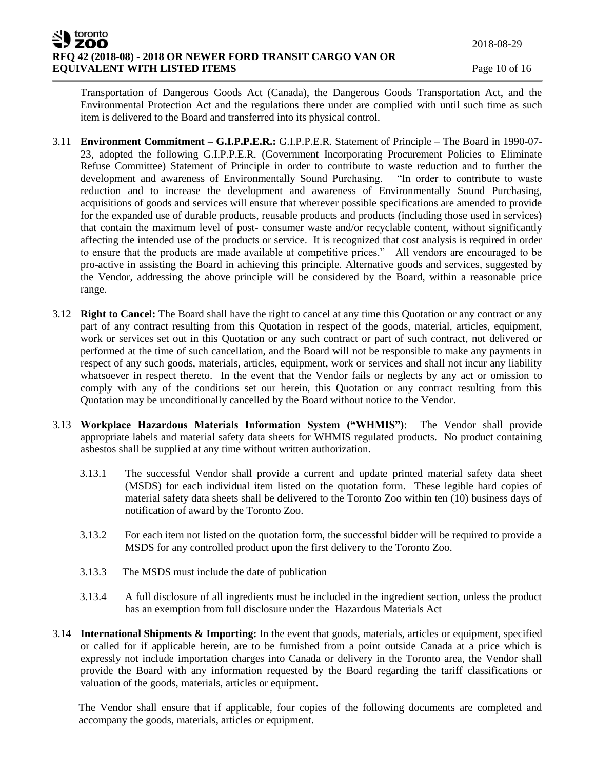Transportation of Dangerous Goods Act (Canada), the Dangerous Goods Transportation Act, and the Environmental Protection Act and the regulations there under are complied with until such time as such item is delivered to the Board and transferred into its physical control.

- 3.11 **Environment Commitment – G.I.P.P.E.R.:** G.I.P.P.E.R. Statement of Principle The Board in 1990-07- 23, adopted the following G.I.P.P.E.R. (Government Incorporating Procurement Policies to Eliminate Refuse Committee) Statement of Principle in order to contribute to waste reduction and to further the development and awareness of Environmentally Sound Purchasing. "In order to contribute to waste reduction and to increase the development and awareness of Environmentally Sound Purchasing, acquisitions of goods and services will ensure that wherever possible specifications are amended to provide for the expanded use of durable products, reusable products and products (including those used in services) that contain the maximum level of post- consumer waste and/or recyclable content, without significantly affecting the intended use of the products or service. It is recognized that cost analysis is required in order to ensure that the products are made available at competitive prices." All vendors are encouraged to be pro-active in assisting the Board in achieving this principle. Alternative goods and services, suggested by the Vendor, addressing the above principle will be considered by the Board, within a reasonable price range.
- 3.12 **Right to Cancel:** The Board shall have the right to cancel at any time this Quotation or any contract or any part of any contract resulting from this Quotation in respect of the goods, material, articles, equipment, work or services set out in this Quotation or any such contract or part of such contract, not delivered or performed at the time of such cancellation, and the Board will not be responsible to make any payments in respect of any such goods, materials, articles, equipment, work or services and shall not incur any liability whatsoever in respect thereto. In the event that the Vendor fails or neglects by any act or omission to comply with any of the conditions set our herein, this Quotation or any contract resulting from this Quotation may be unconditionally cancelled by the Board without notice to the Vendor.
- 3.13 **Workplace Hazardous Materials Information System ("WHMIS")**: The Vendor shall provide appropriate labels and material safety data sheets for WHMIS regulated products. No product containing asbestos shall be supplied at any time without written authorization.
	- 3.13.1 The successful Vendor shall provide a current and update printed material safety data sheet (MSDS) for each individual item listed on the quotation form. These legible hard copies of material safety data sheets shall be delivered to the Toronto Zoo within ten (10) business days of notification of award by the Toronto Zoo.
	- 3.13.2 For each item not listed on the quotation form, the successful bidder will be required to provide a MSDS for any controlled product upon the first delivery to the Toronto Zoo.
	- 3.13.3 The MSDS must include the date of publication
	- 3.13.4 A full disclosure of all ingredients must be included in the ingredient section, unless the product has an exemption from full disclosure under the Hazardous Materials Act
- 3.14 **International Shipments & Importing:** In the event that goods, materials, articles or equipment, specified or called for if applicable herein, are to be furnished from a point outside Canada at a price which is expressly not include importation charges into Canada or delivery in the Toronto area, the Vendor shall provide the Board with any information requested by the Board regarding the tariff classifications or valuation of the goods, materials, articles or equipment.

The Vendor shall ensure that if applicable, four copies of the following documents are completed and accompany the goods, materials, articles or equipment.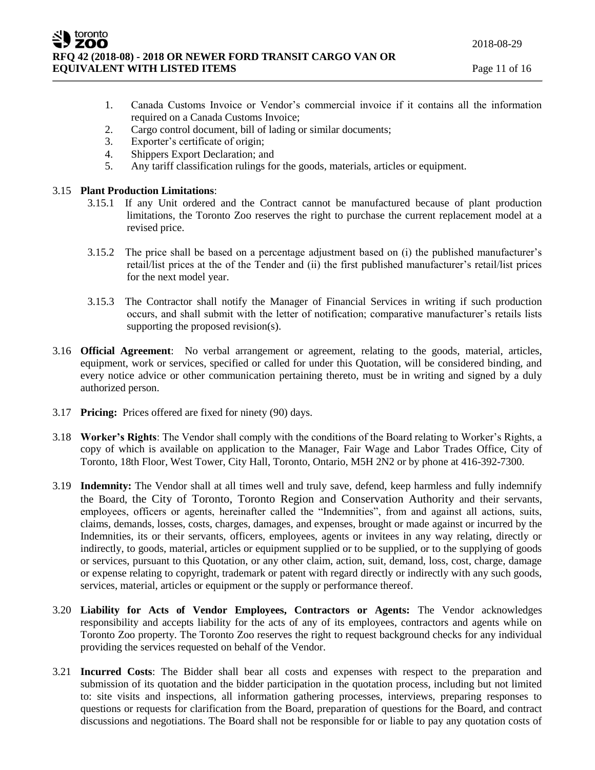- 1. Canada Customs Invoice or Vendor's commercial invoice if it contains all the information required on a Canada Customs Invoice;
- 2. Cargo control document, bill of lading or similar documents;
- 3. Exporter's certificate of origin;
- 4. Shippers Export Declaration; and
- 5. Any tariff classification rulings for the goods, materials, articles or equipment.

### 3.15 **Plant Production Limitations**:

- 3.15.1 If any Unit ordered and the Contract cannot be manufactured because of plant production limitations, the Toronto Zoo reserves the right to purchase the current replacement model at a revised price.
- 3.15.2 The price shall be based on a percentage adjustment based on (i) the published manufacturer's retail/list prices at the of the Tender and (ii) the first published manufacturer's retail/list prices for the next model year.
- 3.15.3 The Contractor shall notify the Manager of Financial Services in writing if such production occurs, and shall submit with the letter of notification; comparative manufacturer's retails lists supporting the proposed revision(s).
- 3.16 **Official Agreement**: No verbal arrangement or agreement, relating to the goods, material, articles, equipment, work or services, specified or called for under this Quotation, will be considered binding, and every notice advice or other communication pertaining thereto, must be in writing and signed by a duly authorized person.
- 3.17 **Pricing:** Prices offered are fixed for ninety (90) days.
- 3.18 **Worker's Rights**: The Vendor shall comply with the conditions of the Board relating to Worker's Rights, a copy of which is available on application to the Manager, Fair Wage and Labor Trades Office, City of Toronto, 18th Floor, West Tower, City Hall, Toronto, Ontario, M5H 2N2 or by phone at 416-392-7300.
- 3.19 **Indemnity:** The Vendor shall at all times well and truly save, defend, keep harmless and fully indemnify the Board, the City of Toronto, Toronto Region and Conservation Authority and their servants, employees, officers or agents, hereinafter called the "Indemnities", from and against all actions, suits, claims, demands, losses, costs, charges, damages, and expenses, brought or made against or incurred by the Indemnities, its or their servants, officers, employees, agents or invitees in any way relating, directly or indirectly, to goods, material, articles or equipment supplied or to be supplied, or to the supplying of goods or services, pursuant to this Quotation, or any other claim, action, suit, demand, loss, cost, charge, damage or expense relating to copyright, trademark or patent with regard directly or indirectly with any such goods, services, material, articles or equipment or the supply or performance thereof.
- 3.20 **Liability for Acts of Vendor Employees, Contractors or Agents:** The Vendor acknowledges responsibility and accepts liability for the acts of any of its employees, contractors and agents while on Toronto Zoo property. The Toronto Zoo reserves the right to request background checks for any individual providing the services requested on behalf of the Vendor.
- 3.21 **Incurred Costs**: The Bidder shall bear all costs and expenses with respect to the preparation and submission of its quotation and the bidder participation in the quotation process, including but not limited to: site visits and inspections, all information gathering processes, interviews, preparing responses to questions or requests for clarification from the Board, preparation of questions for the Board, and contract discussions and negotiations. The Board shall not be responsible for or liable to pay any quotation costs of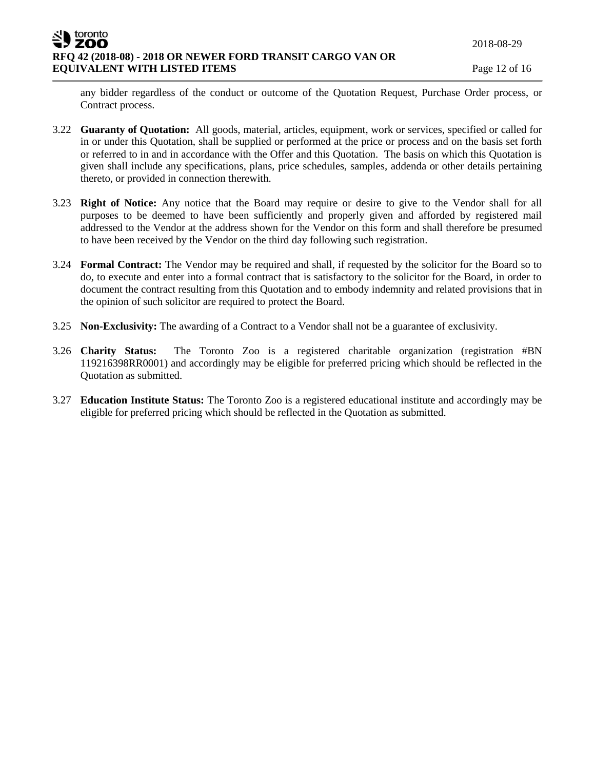any bidder regardless of the conduct or outcome of the Quotation Request, Purchase Order process, or Contract process.

- 3.22 **Guaranty of Quotation:** All goods, material, articles, equipment, work or services, specified or called for in or under this Quotation, shall be supplied or performed at the price or process and on the basis set forth or referred to in and in accordance with the Offer and this Quotation. The basis on which this Quotation is given shall include any specifications, plans, price schedules, samples, addenda or other details pertaining thereto, or provided in connection therewith.
- 3.23 **Right of Notice:** Any notice that the Board may require or desire to give to the Vendor shall for all purposes to be deemed to have been sufficiently and properly given and afforded by registered mail addressed to the Vendor at the address shown for the Vendor on this form and shall therefore be presumed to have been received by the Vendor on the third day following such registration.
- 3.24 **Formal Contract:** The Vendor may be required and shall, if requested by the solicitor for the Board so to do, to execute and enter into a formal contract that is satisfactory to the solicitor for the Board, in order to document the contract resulting from this Quotation and to embody indemnity and related provisions that in the opinion of such solicitor are required to protect the Board.
- 3.25 **Non-Exclusivity:** The awarding of a Contract to a Vendor shall not be a guarantee of exclusivity.
- 3.26 **Charity Status:** The Toronto Zoo is a registered charitable organization (registration #BN 119216398RR0001) and accordingly may be eligible for preferred pricing which should be reflected in the Quotation as submitted.
- 3.27 **Education Institute Status:** The Toronto Zoo is a registered educational institute and accordingly may be eligible for preferred pricing which should be reflected in the Quotation as submitted.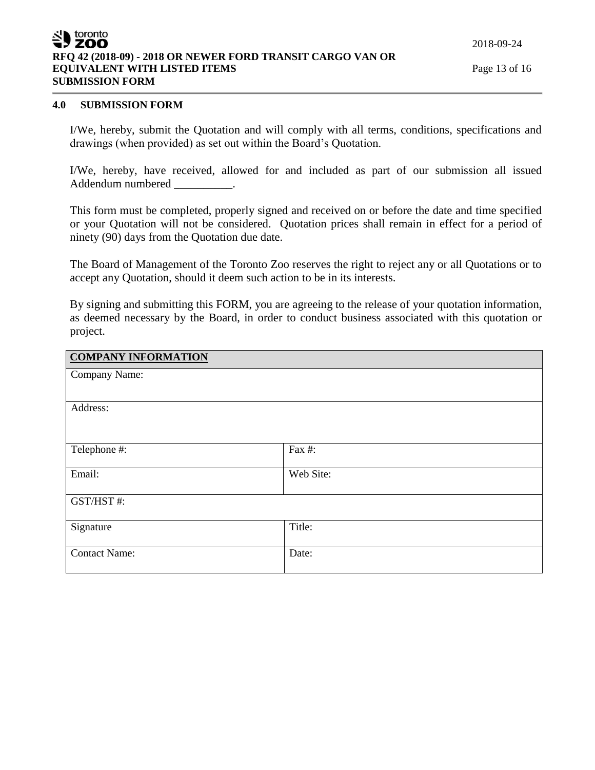### toronto ZOO **RFQ 42 (2018-09) - 2018 OR NEWER FORD TRANSIT CARGO VAN OR EQUIVALENT WITH LISTED ITEMS Page 13 of 16** Page 13 of 16 **SUBMISSION FORM**

#### **4.0 SUBMISSION FORM**

I/We, hereby, submit the Quotation and will comply with all terms, conditions, specifications and drawings (when provided) as set out within the Board's Quotation.

I/We, hereby, have received, allowed for and included as part of our submission all issued Addendum numbered .

This form must be completed, properly signed and received on or before the date and time specified or your Quotation will not be considered. Quotation prices shall remain in effect for a period of ninety (90) days from the Quotation due date.

The Board of Management of the Toronto Zoo reserves the right to reject any or all Quotations or to accept any Quotation, should it deem such action to be in its interests.

By signing and submitting this FORM, you are agreeing to the release of your quotation information, as deemed necessary by the Board, in order to conduct business associated with this quotation or project.

| <b>COMPANY INFORMATION</b> |           |
|----------------------------|-----------|
| Company Name:              |           |
|                            |           |
| Address:                   |           |
| Telephone #:               | Fax #:    |
| Email:                     | Web Site: |
| GST/HST#:                  |           |
| Signature                  | Title:    |
| <b>Contact Name:</b>       | Date:     |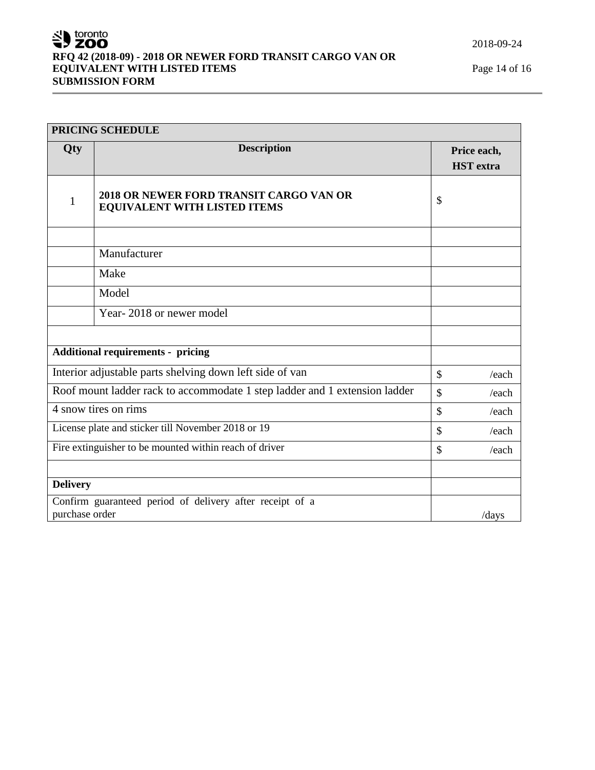2018-09-24

# SU toronto **RFQ 42 (2018-09) - 2018 OR NEWER FORD TRANSIT CARGO VAN OR EQUIVALENT WITH LISTED ITEMS** Page 14 of 16 **SUBMISSION FORM**

| PRICING SCHEDULE |                                                                            |               |                  |
|------------------|----------------------------------------------------------------------------|---------------|------------------|
| Qty              | <b>Description</b>                                                         |               | Price each,      |
|                  |                                                                            |               | <b>HST</b> extra |
| $\mathbf{1}$     | 2018 OR NEWER FORD TRANSIT CARGO VAN OR<br>EQUIVALENT WITH LISTED ITEMS    | \$            |                  |
|                  | Manufacturer                                                               |               |                  |
|                  | Make                                                                       |               |                  |
|                  | Model                                                                      |               |                  |
|                  | Year-2018 or newer model                                                   |               |                  |
|                  |                                                                            |               |                  |
|                  | <b>Additional requirements - pricing</b>                                   |               |                  |
|                  | Interior adjustable parts shelving down left side of van                   | $\mathcal{S}$ | /each            |
|                  | Roof mount ladder rack to accommodate 1 step ladder and 1 extension ladder | $\mathcal{S}$ | /each            |
|                  | 4 snow tires on rims                                                       | $\mathcal{S}$ | /each            |
|                  | License plate and sticker till November 2018 or 19                         | $\mathcal{S}$ | /each            |
|                  | Fire extinguisher to be mounted within reach of driver                     | $\mathcal{S}$ | /each            |
| <b>Delivery</b>  |                                                                            |               |                  |
| purchase order   | Confirm guaranteed period of delivery after receipt of a                   |               | /days            |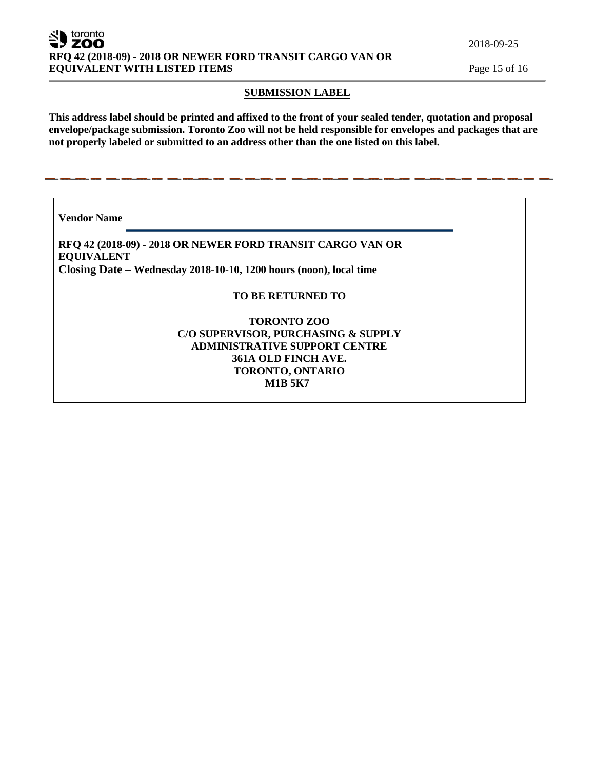toronto ' ZOO **RFQ 42 (2018-09) - 2018 OR NEWER FORD TRANSIT CARGO VAN OR EQUIVALENT WITH LISTED ITEMS** Page 15 of 16

2018-09-25

#### **SUBMISSION LABEL**

**This address label should be printed and affixed to the front of your sealed tender, quotation and proposal envelope/package submission. Toronto Zoo will not be held responsible for envelopes and packages that are not properly labeled or submitted to an address other than the one listed on this label.**

**Vendor Name** 

**RFQ 42 (2018-09) - 2018 OR NEWER FORD TRANSIT CARGO VAN OR EQUIVALENT Closing Date – Wednesday 2018-10-10, 1200 hours (noon), local time**

### **TO BE RETURNED TO**

# **TORONTO ZOO C/O SUPERVISOR, PURCHASING & SUPPLY ADMINISTRATIVE SUPPORT CENTRE 361A OLD FINCH AVE. TORONTO, ONTARIO M1B 5K7**